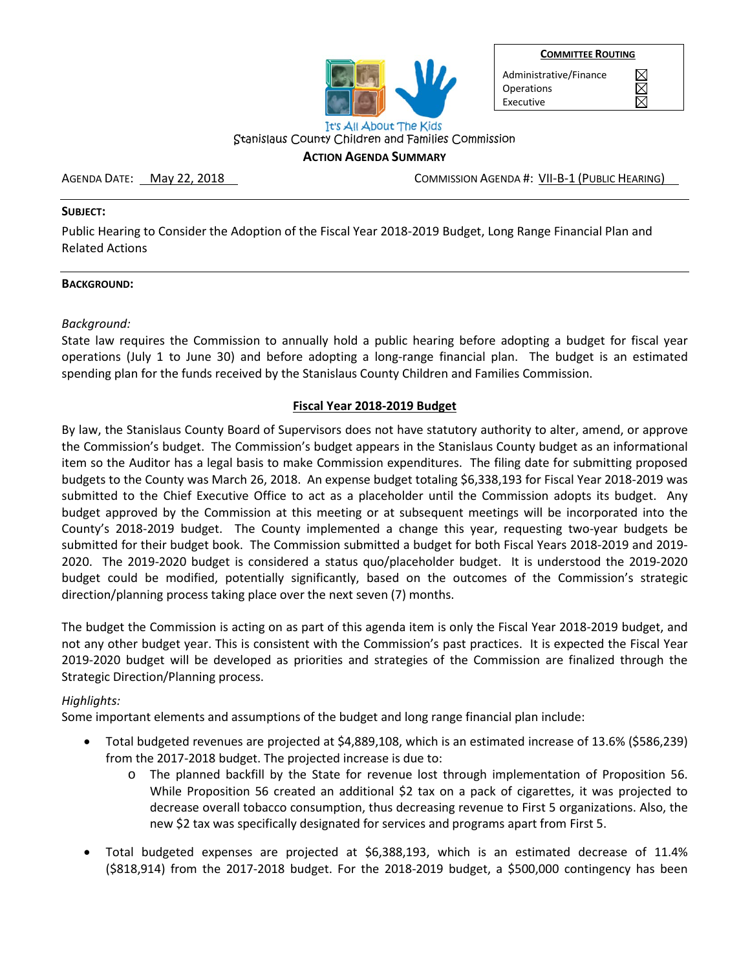

**COMMITTEE ROUTING** 

Administrative/Finance **Operations** Executive

 $\boxtimes$ 

Stanislaus County Children and Families Commission **ACTION AGENDA SUMMARY**

AGENDA DATE: <u>May 22, 2018</u> COMMISSION AGENDA #: VII-B-1 (PUBLIC HEARING)

#### **SUBJECT:**

Public Hearing to Consider the Adoption of the Fiscal Year 2018-2019 Budget, Long Range Financial Plan and Related Actions

#### **BACKGROUND:**

*Background:*

State law requires the Commission to annually hold a public hearing before adopting a budget for fiscal year operations (July 1 to June 30) and before adopting a long-range financial plan. The budget is an estimated spending plan for the funds received by the Stanislaus County Children and Families Commission.

### **Fiscal Year 2018-2019 Budget**

By law, the Stanislaus County Board of Supervisors does not have statutory authority to alter, amend, or approve the Commission's budget. The Commission's budget appears in the Stanislaus County budget as an informational item so the Auditor has a legal basis to make Commission expenditures. The filing date for submitting proposed budgets to the County was March 26, 2018. An expense budget totaling \$6,338,193 for Fiscal Year 2018-2019 was submitted to the Chief Executive Office to act as a placeholder until the Commission adopts its budget. Any budget approved by the Commission at this meeting or at subsequent meetings will be incorporated into the County's 2018-2019 budget. The County implemented a change this year, requesting two-year budgets be submitted for their budget book. The Commission submitted a budget for both Fiscal Years 2018-2019 and 2019- 2020. The 2019-2020 budget is considered a status quo/placeholder budget. It is understood the 2019-2020 budget could be modified, potentially significantly, based on the outcomes of the Commission's strategic direction/planning process taking place over the next seven (7) months.

The budget the Commission is acting on as part of this agenda item is only the Fiscal Year 2018-2019 budget, and not any other budget year. This is consistent with the Commission's past practices. It is expected the Fiscal Year 2019-2020 budget will be developed as priorities and strategies of the Commission are finalized through the Strategic Direction/Planning process.

#### *Highlights:*

Some important elements and assumptions of the budget and long range financial plan include:

- Total budgeted revenues are projected at \$4,889,108, which is an estimated increase of 13.6% (\$586,239) from the 2017-2018 budget. The projected increase is due to:
	- o The planned backfill by the State for revenue lost through implementation of Proposition 56. While Proposition 56 created an additional \$2 tax on a pack of cigarettes, it was projected to decrease overall tobacco consumption, thus decreasing revenue to First 5 organizations. Also, the new \$2 tax was specifically designated for services and programs apart from First 5.
- Total budgeted expenses are projected at \$6,388,193, which is an estimated decrease of 11.4% (\$818,914) from the 2017-2018 budget. For the 2018-2019 budget, a \$500,000 contingency has been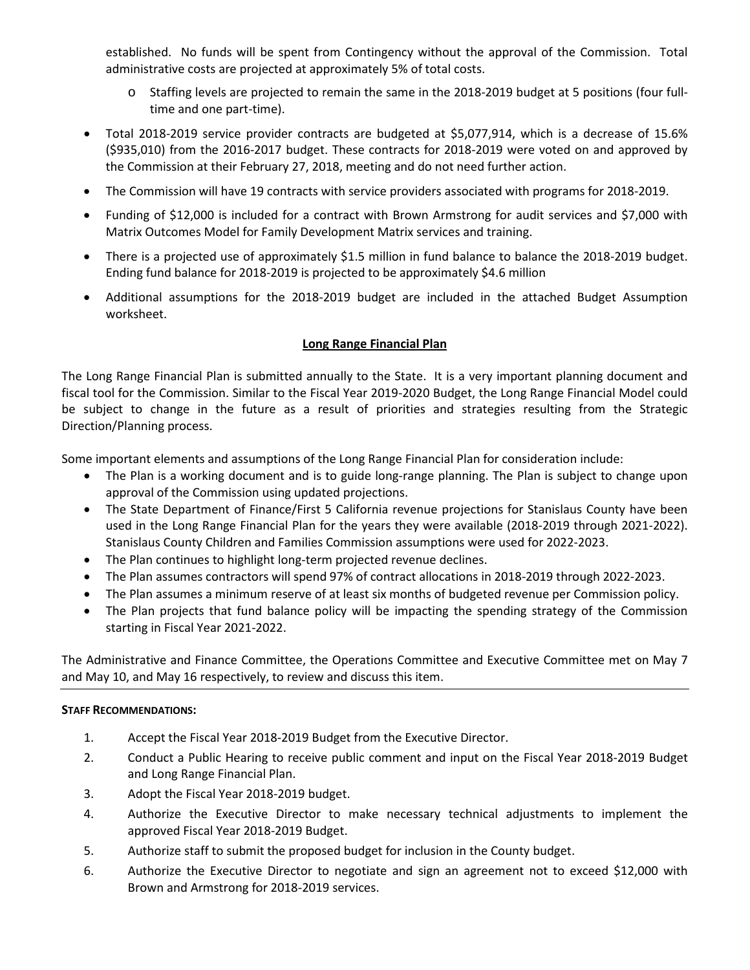established. No funds will be spent from Contingency without the approval of the Commission. Total administrative costs are projected at approximately 5% of total costs.

- o Staffing levels are projected to remain the same in the 2018-2019 budget at 5 positions (four fulltime and one part-time).
- Total 2018-2019 service provider contracts are budgeted at \$5,077,914, which is a decrease of 15.6% (\$935,010) from the 2016-2017 budget. These contracts for 2018-2019 were voted on and approved by the Commission at their February 27, 2018, meeting and do not need further action.
- The Commission will have 19 contracts with service providers associated with programs for 2018-2019.
- Funding of \$12,000 is included for a contract with Brown Armstrong for audit services and \$7,000 with Matrix Outcomes Model for Family Development Matrix services and training.
- There is a projected use of approximately \$1.5 million in fund balance to balance the 2018-2019 budget. Ending fund balance for 2018-2019 is projected to be approximately \$4.6 million
- Additional assumptions for the 2018-2019 budget are included in the attached Budget Assumption worksheet.

### **Long Range Financial Plan**

The Long Range Financial Plan is submitted annually to the State. It is a very important planning document and fiscal tool for the Commission. Similar to the Fiscal Year 2019-2020 Budget, the Long Range Financial Model could be subject to change in the future as a result of priorities and strategies resulting from the Strategic Direction/Planning process.

Some important elements and assumptions of the Long Range Financial Plan for consideration include:

- The Plan is a working document and is to guide long-range planning. The Plan is subject to change upon approval of the Commission using updated projections.
- The State Department of Finance/First 5 California revenue projections for Stanislaus County have been used in the Long Range Financial Plan for the years they were available (2018-2019 through 2021-2022). Stanislaus County Children and Families Commission assumptions were used for 2022-2023.
- The Plan continues to highlight long-term projected revenue declines.
- The Plan assumes contractors will spend 97% of contract allocations in 2018-2019 through 2022-2023.
- The Plan assumes a minimum reserve of at least six months of budgeted revenue per Commission policy.
- The Plan projects that fund balance policy will be impacting the spending strategy of the Commission starting in Fiscal Year 2021-2022.

The Administrative and Finance Committee, the Operations Committee and Executive Committee met on May 7 and May 10, and May 16 respectively, to review and discuss this item.

#### **STAFF RECOMMENDATIONS:**

- 1. Accept the Fiscal Year 2018-2019 Budget from the Executive Director.
- 2. Conduct a Public Hearing to receive public comment and input on the Fiscal Year 2018-2019 Budget and Long Range Financial Plan.
- 3. Adopt the Fiscal Year 2018-2019 budget.
- 4. Authorize the Executive Director to make necessary technical adjustments to implement the approved Fiscal Year 2018-2019 Budget.
- 5. Authorize staff to submit the proposed budget for inclusion in the County budget.
- 6. Authorize the Executive Director to negotiate and sign an agreement not to exceed \$12,000 with Brown and Armstrong for 2018-2019 services.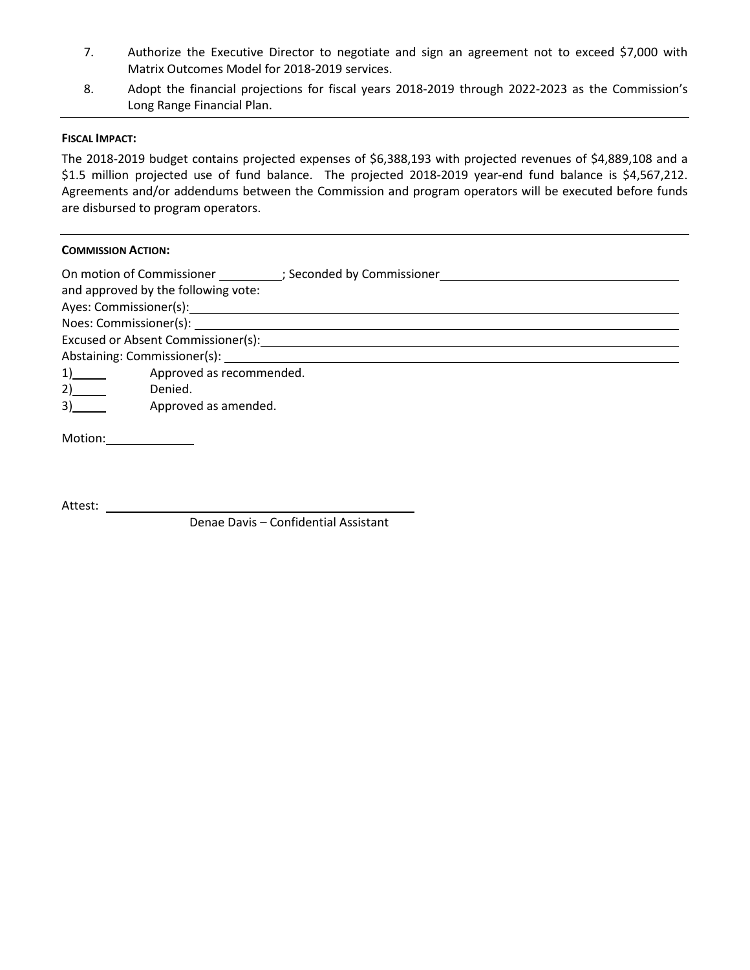- 7. Authorize the Executive Director to negotiate and sign an agreement not to exceed \$7,000 with Matrix Outcomes Model for 2018-2019 services.
- 8. Adopt the financial projections for fiscal years 2018-2019 through 2022-2023 as the Commission's Long Range Financial Plan.

#### **FISCAL IMPACT:**

The 2018-2019 budget contains projected expenses of \$6,388,193 with projected revenues of \$4,889,108 and a \$1.5 million projected use of fund balance. The projected 2018-2019 year-end fund balance is \$4,567,212. Agreements and/or addendums between the Commission and program operators will be executed before funds are disbursed to program operators.

#### **COMMISSION ACTION:**

| On motion of Commissioner (3) Seconded by Commissioner<br>and approved by the following vote: |
|-----------------------------------------------------------------------------------------------|
|                                                                                               |
|                                                                                               |
| Excused or Absent Commissioner(s):                                                            |
|                                                                                               |
| Approved as recommended.<br>$1)$ and $2$                                                      |
| 2)<br>Denied.                                                                                 |
| 3)<br>Approved as amended.                                                                    |
| Motion:                                                                                       |

Attest:

Denae Davis – Confidential Assistant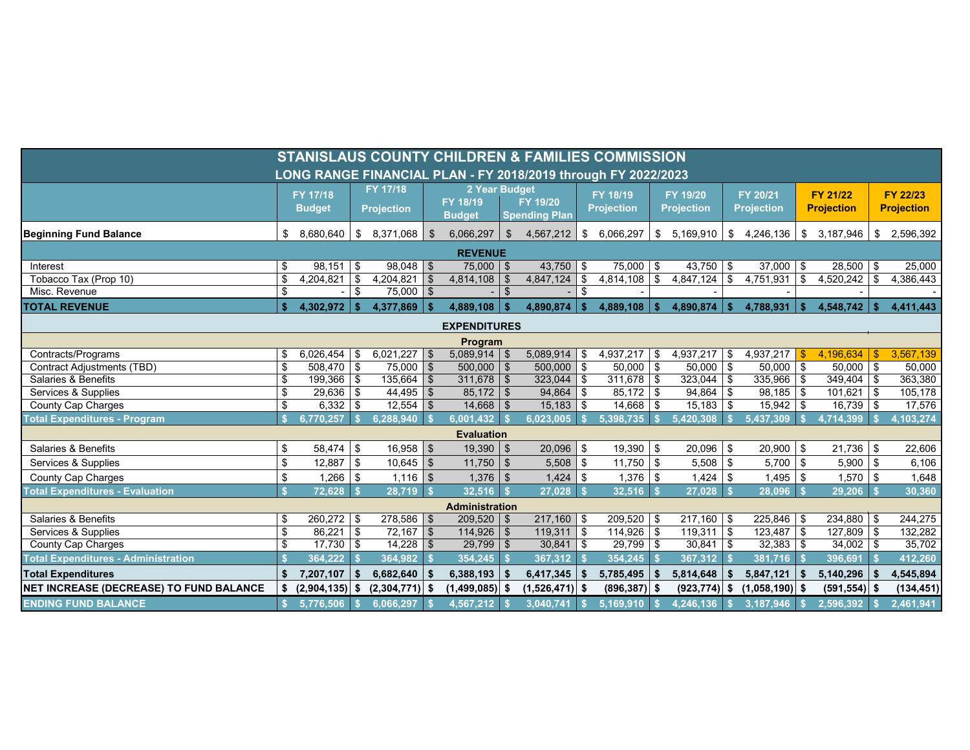|                                                               |                    |                               |              |                                         |          |                                            |                | <b>STANISLAUS COUNTY CHILDREN &amp; FAMILIES COMMISSION</b> |          |                                 |    |                                              |      |                                      |      |                               |      |                               |
|---------------------------------------------------------------|--------------------|-------------------------------|--------------|-----------------------------------------|----------|--------------------------------------------|----------------|-------------------------------------------------------------|----------|---------------------------------|----|----------------------------------------------|------|--------------------------------------|------|-------------------------------|------|-------------------------------|
| LONG RANGE FINANCIAL PLAN - FY 2018/2019 through FY 2022/2023 |                    |                               |              |                                         |          |                                            |                |                                                             |          |                                 |    |                                              |      |                                      |      |                               |      |                               |
|                                                               |                    | FY 17/18<br><b>Budget</b>     |              | FY 17/18<br><b>Projection</b>           |          | 2 Year Budget<br>FY 18/19<br><b>Budget</b> |                | FY 19/20<br><b>Spending Plan</b>                            |          | FY 18/19<br><b>Projection</b>   |    | FY 19/20<br><b>Projection</b>                |      | <b>FY 20/21</b><br><b>Projection</b> |      | FY 21/22<br><b>Projection</b> |      | FY 22/23<br><b>Projection</b> |
| <b>Beginning Fund Balance</b>                                 | \$                 | 8,680,640                     | \$           | 8,371,068                               | \$       | 6,066,297                                  | $\mathbf{\$}$  | 4,567,212                                                   | \$       | 6,066,297                       | \$ | 5,169,910                                    | \$   | 4,246,136                            | \$   | 3,187,946                     | \$   | 2,596,392                     |
| <b>REVENUE</b>                                                |                    |                               |              |                                         |          |                                            |                |                                                             |          |                                 |    |                                              |      |                                      |      |                               |      |                               |
| Interest<br>Tobacco Tax (Prop 10)<br>Misc. Revenue            | \$<br>\$<br>\$     | $98,151$ \$<br>$4,204,821$ \$ | \$           | $98,048$ \$<br>4,204,821<br>$75,000$ \$ | <b>S</b> | 75,000 \$<br>$4,814,108$ \$                | $\mathfrak{S}$ | 43,750 \$<br>4,847,124                                      | \$<br>\$ | $75,000$ \ \$<br>$4,814,108$ \$ |    | $\sqrt{43,750}$ \$<br>$\overline{4,847,124}$ | -\$  | $\overline{37,000}$ \$<br>4,751,931  | \$   | $28,500$ \$<br>$4,520,242$ \$ |      | 25,000<br>4,386,443           |
| <b>TOTAL REVENUE</b>                                          | \$                 | 4,302,972                     | $\mathbf{s}$ | 4,377,869                               | l Si     | 4,889,108                                  | $\mathbf{s}$   | 4,890,874                                                   |          | 4,889,108                       |    | 4,890,874                                    | -\$  | 4,788,931                            |      | 4,548,742                     | - \$ | 4,411,443                     |
| <b>EXPENDITURES</b>                                           |                    |                               |              |                                         |          |                                            |                |                                                             |          |                                 |    |                                              |      |                                      |      |                               |      |                               |
|                                                               |                    |                               |              |                                         |          | Program                                    |                |                                                             |          |                                 |    |                                              |      |                                      |      |                               |      |                               |
| Contracts/Programs                                            | \$                 | $6.026.454$ \ \$              |              | $6,021,227$ \$                          |          | $5,089,914$ \$                             |                | 5,089,914                                                   | - \$     | $4.937.217$ \$                  |    | $4,937,217$ \$                               |      | 4.937.217                            | -\$  | 4.196.634                     | -\$  | 3,567,139                     |
| <b>Contract Adjustments (TBD)</b>                             | \$                 | $508,470$ \$                  |              | 75,000 \$                               |          | $500,000$ \$                               |                | $500,000$ \$                                                |          | $50,000$ \$                     |    | $50,000$ \$                                  |      | $50,000$ \$                          |      | $50,000$ \$                   |      | 50,000                        |
| Salaries & Benefits                                           | \$                 | 199,366 \$                    |              | 135,664                                 | <b>S</b> | $311,678$ \$                               |                | $323,044$ \$                                                |          | $311,678$ \$                    |    | $323,044$ \$                                 |      | $335,966$ \$                         |      | $349,404$ \$                  |      | 363,380                       |
| Services & Supplies                                           | \$                 | $29,636$ \$                   |              | $44,495$ \$                             |          | $85,172$ \$                                |                | 94,864 \$                                                   |          | $85,172$ \$                     |    | $94,864$ \$                                  |      | $98,185$ \$                          |      | $101,621$ \$                  |      | 105,178                       |
| County Cap Charges                                            | \$                 | $6,332$ \$                    |              |                                         |          | $14,668$ \$                                |                | $15,183$ \$                                                 |          | $14,668$ \ \$                   |    | $15,183$ \$                                  |      | $15,942$ \$                          |      | $16,739$ \$                   |      | 17,576                        |
| <b>Total Expenditures - Program</b>                           | $\hat{\mathbf{s}}$ | 6,770,257                     |              | 6,288,940                               |          | 6,001,432                                  | - \$           | 6,023,005                                                   |          | 5,398,735                       |    | 5,420,308                                    |      | 5,437,309                            |      | 4,714,399                     |      | ,103,274                      |
| <b>Evaluation</b>                                             |                    |                               |              |                                         |          |                                            |                |                                                             |          |                                 |    |                                              |      |                                      |      |                               |      |                               |
| Salaries & Benefits                                           | \$                 | $58,474$ \$                   |              | $16,958$ \$                             |          | $19,390$ \$                                |                | $20,096$ \$                                                 |          | $19,390$ \$                     |    | $20,096$ \$                                  |      | $20,900$ \$                          |      | $21,736$ \$                   |      | 22,606                        |
| Services & Supplies                                           | \$                 | $12,887$ \$                   |              | $10,645$ \$                             |          | $11,750$ \$                                |                | $5,508$ \$                                                  |          | $11,750$ \$                     |    | $5,508$ \$                                   |      | $5,700$ \$                           |      | $5,900$ \$                    |      | 6,106                         |
| County Cap Charges                                            | \$                 | 1,266                         | - \$         | $1,116$ \$                              |          | $1,376$ \$                                 |                | $1,424$ \$                                                  |          | $1,376$ \$                      |    | $1,424$ \$                                   |      | $1,495$ \$                           |      | $1,570$ \$                    |      | 1,648                         |
| <b>Total Expenditures - Evaluation</b>                        | \$.                | $72,628$ \$                   |              | $28,719$ \$                             |          | $32,516$ \$                                |                | $27,028$ \$                                                 |          | $32,516$ \$                     |    | 27,028                                       |      | $28,096$ \$                          |      | $29,206$ \$                   |      | 30,360                        |
| <b>Administration</b>                                         |                    |                               |              |                                         |          |                                            |                |                                                             |          |                                 |    |                                              |      |                                      |      |                               |      |                               |
| Salaries & Benefits                                           | \$                 | $260,272$ \$                  |              | $278,586$ \$                            |          | $209,520$ \$                               |                | $217,160$ \$                                                |          | $209,520$ \$                    |    | $217,160$ \$                                 |      | $225,846$ \$                         |      | $234,880$ \$                  |      | 244,275                       |
| Services & Supplies                                           | \$                 | $86,221$ \$                   |              | $72,167$ \$                             |          | $114,926$ \$                               |                | $119,311$ \$                                                |          | $114,926$ \$                    |    | $119,311$ \$                                 |      | $123,487$ \$                         |      | $127,809$ \$                  |      | 132,282                       |
| County Cap Charges                                            | \$                 | $17,730$ \$                   |              | $14,228$ \$                             |          | $29,799$ \$                                |                | $30,841$ \$                                                 |          | $29,799$ \$                     |    | $30,841$ \$                                  |      | $32,383$ \$                          |      | $34,002$ \$                   |      | 35,702                        |
| <b>Total Expenditures - Administration</b>                    |                    | 364,222                       |              | $364,982$ \$                            |          | $354,245$ \$                               |                | $367,312$ \$                                                |          |                                 |    | 367,312                                      |      | 381,716                              |      | 396,691                       |      | 412,260                       |
| <b>Total Expenditures</b>                                     | \$                 | 7,207,107                     | Ŝ.           | 6,682,640                               | - \$     | 6,388,193                                  | -\$            | 6,417,345                                                   | -\$      | $5,785,495$ \$                  |    | 5,814,648                                    | - \$ | 5,847,121                            | - \$ | 5,140,296                     | -\$  | 4,545,894                     |
| NET INCREASE (DECREASE) TO FUND BALANCE                       |                    | $(2,904,135)$ \$              |              | $(2,304,771)$ \$                        |          | $(1,499,085)$ \$                           |                | $(1,526,471)$ \$                                            |          | $(896, 387)$ \$                 |    | $(923, 774)$ \$                              |      | $(1,058,190)$ \$                     |      | $(591, 554)$ \$               |      | (134, 451)                    |
| <b>ENDING FUND BALANCE</b>                                    | $\mathbf{s}$       | 5,776,506                     |              | 6,066,297                               |          | 4,567,212                                  |                | 3,040,741                                                   |          | 5,169,910                       |    | 4,246,136                                    |      | 3,187,946                            |      | 2,596,392                     |      | 2,461,941                     |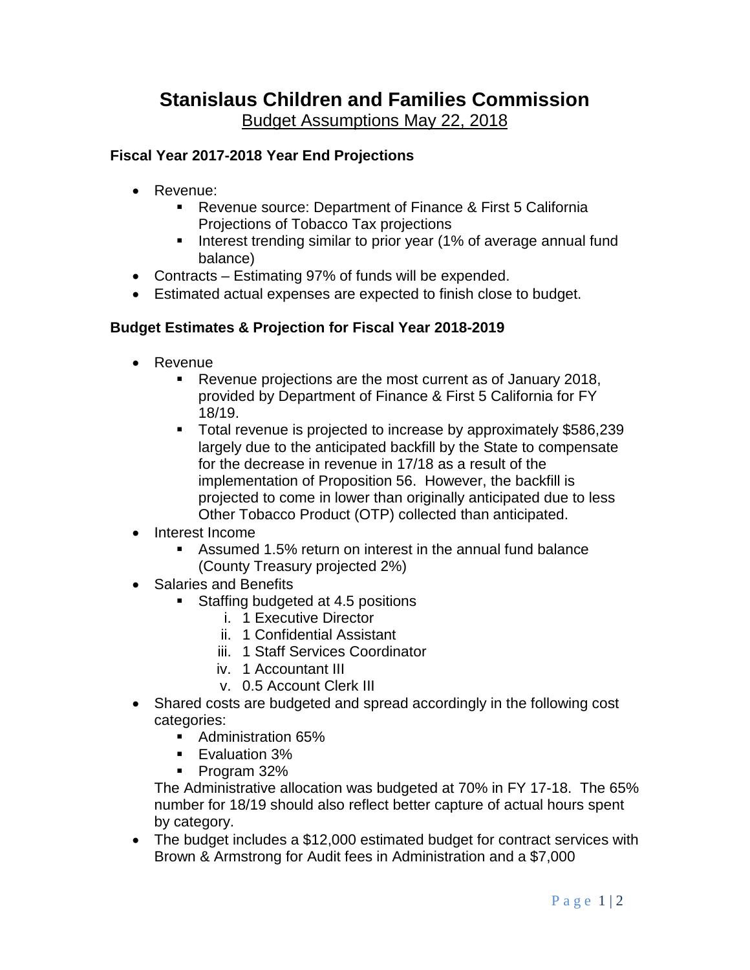# **Fiscal Year 2017-2018 Year End Projections**

- Revenue:
	- Revenue source: Department of Finance & First 5 California Projections of Tobacco Tax projections
	- **Interest trending similar to prior year (1% of average annual fund** balance)
- Contracts Estimating 97% of funds will be expended.
- Estimated actual expenses are expected to finish close to budget.

## **Budget Estimates & Projection for Fiscal Year 2018-2019**

- Revenue
	- Revenue projections are the most current as of January 2018, provided by Department of Finance & First 5 California for FY 18/19.
	- Total revenue is projected to increase by approximately \$586,239 largely due to the anticipated backfill by the State to compensate for the decrease in revenue in 17/18 as a result of the implementation of Proposition 56. However, the backfill is projected to come in lower than originally anticipated due to less Other Tobacco Product (OTP) collected than anticipated.
- Interest Income
	- Assumed 1.5% return on interest in the annual fund balance (County Treasury projected 2%)
- Salaries and Benefits
	- Staffing budgeted at 4.5 positions
		- i. 1 Executive Director
		- ii. 1 Confidential Assistant
		- iii. 1 Staff Services Coordinator
		- iv. 1 Accountant III
		- v. 0.5 Account Clerk III
- Shared costs are budgeted and spread accordingly in the following cost categories:
	- Administration 65%
	- **Evaluation 3%**
	- Program 32%

The Administrative allocation was budgeted at 70% in FY 17-18. The 65% number for 18/19 should also reflect better capture of actual hours spent by category.

• The budget includes a \$12,000 estimated budget for contract services with Brown & Armstrong for Audit fees in Administration and a \$7,000